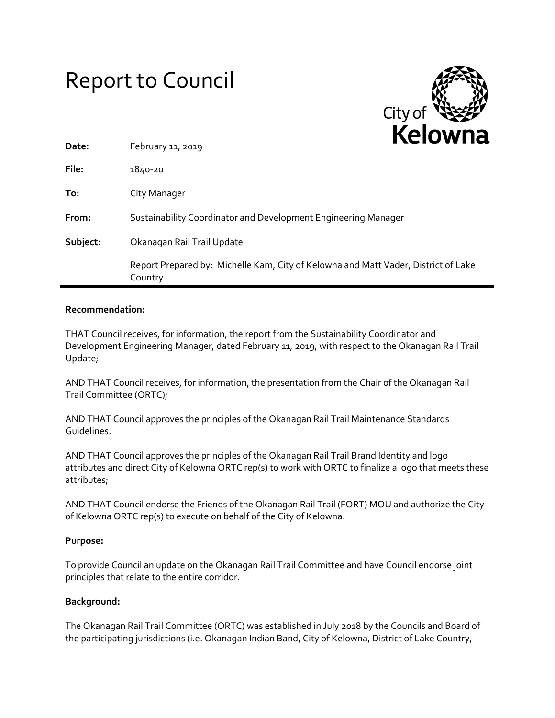# Report to Council



| Date:    | February 11, 2019                                                                             |
|----------|-----------------------------------------------------------------------------------------------|
| File:    | 1840-20                                                                                       |
| To:      | City Manager                                                                                  |
| From:    | Sustainability Coordinator and Development Engineering Manager                                |
| Subject: | Okanagan Rail Trail Update                                                                    |
|          | Report Prepared by: Michelle Kam, City of Kelowna and Matt Vader, District of Lake<br>Country |

### **Recommendation:**

THAT Council receives, for information, the report from the Sustainability Coordinator and Development Engineering Manager, dated February 11, 2019, with respect to the Okanagan Rail Trail Update;

AND THAT Council receives, for information, the presentation from the Chair of the Okanagan Rail Trail Committee (ORTC);

AND THAT Council approves the principles of the Okanagan Rail Trail Maintenance Standards Guidelines.

AND THAT Council approves the principles of the Okanagan Rail Trail Brand Identity and logo attributes and direct City of Kelowna ORTC rep(s) to work with ORTC to finalize a logo that meets these attributes;

AND THAT Council endorse the Friends of the Okanagan Rail Trail (FORT) MOU and authorize the City of Kelowna ORTC rep(s) to execute on behalf of the City of Kelowna.

#### **Purpose:**

To provide Council an update on the Okanagan Rail Trail Committee and have Council endorse joint principles that relate to the entire corridor.

#### **Background:**

The Okanagan Rail Trail Committee (ORTC) was established in July 2018 by the Councils and Board of the participating jurisdictions (i.e. Okanagan Indian Band, City of Kelowna, District of Lake Country,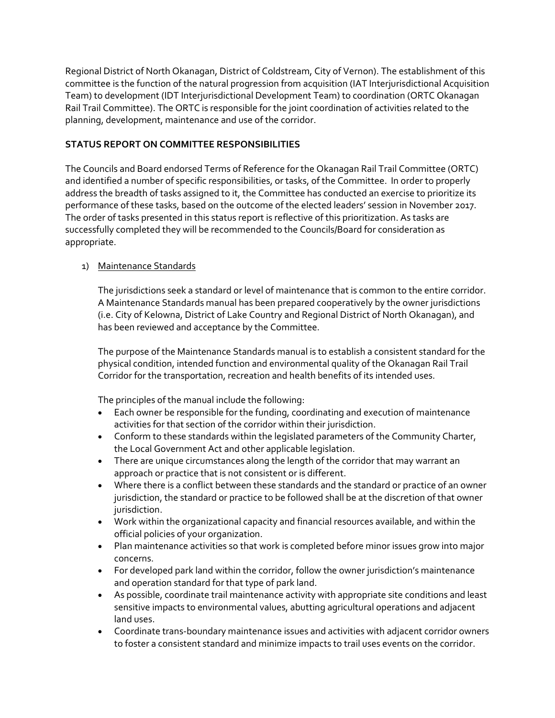Regional District of North Okanagan, District of Coldstream, City of Vernon). The establishment of this committee is the function of the natural progression from acquisition (IAT Interjurisdictional Acquisition Team) to development (IDT Interjurisdictional Development Team) to coordination (ORTC Okanagan Rail Trail Committee). The ORTC is responsible for the joint coordination of activities related to the planning, development, maintenance and use of the corridor.

# **STATUS REPORT ON COMMITTEE RESPONSIBILITIES**

The Councils and Board endorsed Terms of Reference for the Okanagan Rail Trail Committee (ORTC) and identified a number of specific responsibilities, or tasks, of the Committee. In order to properly address the breadth of tasks assigned to it, the Committee has conducted an exercise to prioritize its performance of these tasks, based on the outcome of the elected leaders' session in November 2017. The order of tasks presented in this status report is reflective of this prioritization. As tasks are successfully completed they will be recommended to the Councils/Board for consideration as appropriate.

## 1) Maintenance Standards

The jurisdictions seek a standard or level of maintenance that is common to the entire corridor. A Maintenance Standards manual has been prepared cooperatively by the owner jurisdictions (i.e. City of Kelowna, District of Lake Country and Regional District of North Okanagan), and has been reviewed and acceptance by the Committee.

The purpose of the Maintenance Standards manual is to establish a consistent standard for the physical condition, intended function and environmental quality of the Okanagan Rail Trail Corridor for the transportation, recreation and health benefits of its intended uses.

The principles of the manual include the following:

- Each owner be responsible for the funding, coordinating and execution of maintenance activities for that section of the corridor within their jurisdiction.
- Conform to these standards within the legislated parameters of the Community Charter, the Local Government Act and other applicable legislation.
- There are unique circumstances along the length of the corridor that may warrant an approach or practice that is not consistent or is different.
- Where there is a conflict between these standards and the standard or practice of an owner jurisdiction, the standard or practice to be followed shall be at the discretion of that owner jurisdiction.
- Work within the organizational capacity and financial resources available, and within the official policies of your organization.
- Plan maintenance activities so that work is completed before minor issues grow into major concerns.
- For developed park land within the corridor, follow the owner jurisdiction's maintenance and operation standard for that type of park land.
- As possible, coordinate trail maintenance activity with appropriate site conditions and least sensitive impacts to environmental values, abutting agricultural operations and adjacent land uses.
- Coordinate trans-boundary maintenance issues and activities with adjacent corridor owners to foster a consistent standard and minimize impacts to trail uses events on the corridor.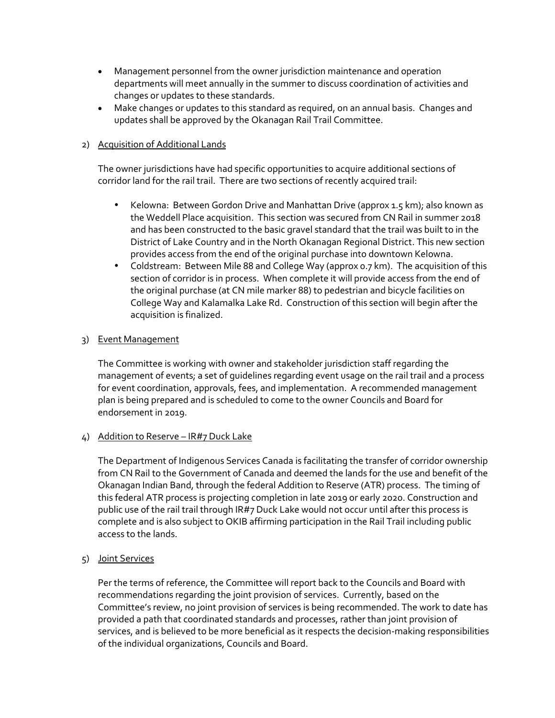- Management personnel from the owner jurisdiction maintenance and operation departments will meet annually in the summer to discuss coordination of activities and changes or updates to these standards.
- Make changes or updates to this standard as required, on an annual basis. Changes and updates shall be approved by the Okanagan Rail Trail Committee.

## 2) Acquisition of Additional Lands

The owner jurisdictions have had specific opportunities to acquire additional sections of corridor land for the rail trail. There are two sections of recently acquired trail:

- Kelowna: Between Gordon Drive and Manhattan Drive (approx 1.5 km); also known as the Weddell Place acquisition. This section was secured from CN Rail in summer 2018 and has been constructed to the basic gravel standard that the trail was built to in the District of Lake Country and in the North Okanagan Regional District. This new section provides access from the end of the original purchase into downtown Kelowna.
- Coldstream: Between Mile 88 and College Way (approx 0.7 km). The acquisition of this section of corridor is in process. When complete it will provide access from the end of the original purchase (at CN mile marker 88) to pedestrian and bicycle facilities on College Way and Kalamalka Lake Rd. Construction of this section will begin after the acquisition is finalized.

## 3) Event Management

The Committee is working with owner and stakeholder jurisdiction staff regarding the management of events; a set of guidelines regarding event usage on the rail trail and a process for event coordination, approvals, fees, and implementation. A recommended management plan is being prepared and is scheduled to come to the owner Councils and Board for endorsement in 2019.

## 4) Addition to Reserve – IR#7 Duck Lake

The Department of Indigenous Services Canada is facilitating the transfer of corridor ownership from CN Rail to the Government of Canada and deemed the lands for the use and benefit of the Okanagan Indian Band, through the federal Addition to Reserve (ATR) process. The timing of this federal ATR process is projecting completion in late 2019 or early 2020. Construction and public use of the rail trail through IR#7 Duck Lake would not occur until after this process is complete and is also subject to OKIB affirming participation in the Rail Trail including public access to the lands.

## 5) Joint Services

Per the terms of reference, the Committee will report back to the Councils and Board with recommendations regarding the joint provision of services. Currently, based on the Committee's review, no joint provision of services is being recommended. The work to date has provided a path that coordinated standards and processes, rather than joint provision of services, and is believed to be more beneficial as it respects the decision-making responsibilities of the individual organizations, Councils and Board.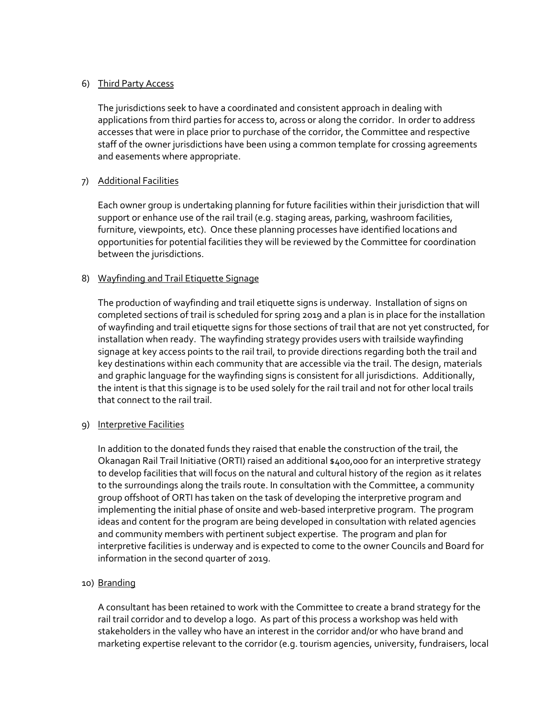### 6) Third Party Access

The jurisdictions seek to have a coordinated and consistent approach in dealing with applications from third parties for access to, across or along the corridor. In order to address accesses that were in place prior to purchase of the corridor, the Committee and respective staff of the owner jurisdictions have been using a common template for crossing agreements and easements where appropriate.

### 7) Additional Facilities

Each owner group is undertaking planning for future facilities within their jurisdiction that will support or enhance use of the rail trail (e.g. staging areas, parking, washroom facilities, furniture, viewpoints, etc). Once these planning processes have identified locations and opportunities for potential facilities they will be reviewed by the Committee for coordination between the jurisdictions.

### 8) Wayfinding and Trail Etiquette Signage

The production of wayfinding and trail etiquette signs is underway. Installation of signs on completed sections of trail is scheduled for spring 2019 and a plan is in place for the installation of wayfinding and trail etiquette signs for those sections of trail that are not yet constructed, for installation when ready. The wayfinding strategy provides users with trailside wayfinding signage at key access points to the rail trail, to provide directions regarding both the trail and key destinations within each community that are accessible via the trail. The design, materials and graphic language for the wayfinding signs is consistent for all jurisdictions. Additionally, the intent is that this signage is to be used solely for the rail trail and not for other local trails that connect to the rail trail.

#### 9) Interpretive Facilities

In addition to the donated funds they raised that enable the construction of the trail, the Okanagan Rail Trail Initiative (ORTI) raised an additional \$400,000 for an interpretive strategy to develop facilities that will focus on the natural and cultural history of the region as it relates to the surroundings along the trails route. In consultation with the Committee, a community group offshoot of ORTI has taken on the task of developing the interpretive program and implementing the initial phase of onsite and web-based interpretive program. The program ideas and content for the program are being developed in consultation with related agencies and community members with pertinent subject expertise. The program and plan for interpretive facilities is underway and is expected to come to the owner Councils and Board for information in the second quarter of 2019.

## 10) Branding

A consultant has been retained to work with the Committee to create a brand strategy for the rail trail corridor and to develop a logo. As part of this process a workshop was held with stakeholders in the valley who have an interest in the corridor and/or who have brand and marketing expertise relevant to the corridor (e.g. tourism agencies, university, fundraisers, local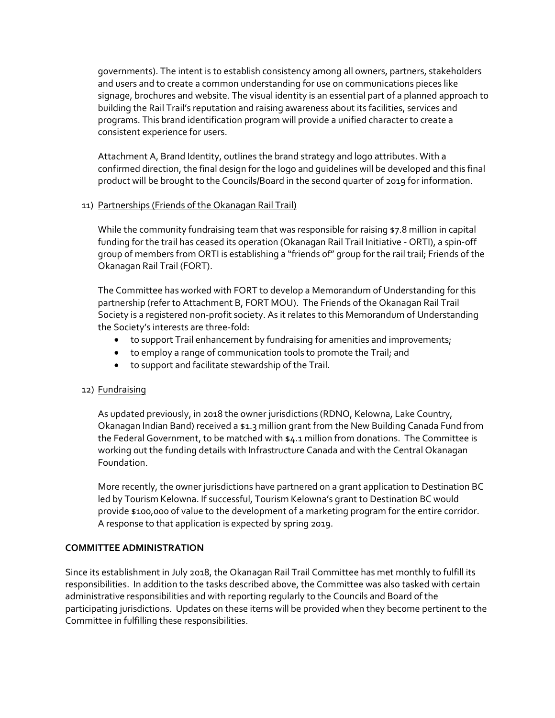governments). The intent is to establish consistency among all owners, partners, stakeholders and users and to create a common understanding for use on communications pieces like signage, brochures and website. The visual identity is an essential part of a planned approach to building the Rail Trail's reputation and raising awareness about its facilities, services and programs. This brand identification program will provide a unified character to create a consistent experience for users.

Attachment A, Brand Identity, outlines the brand strategy and logo attributes. With a confirmed direction, the final design for the logo and guidelines will be developed and this final product will be brought to the Councils/Board in the second quarter of 2019 for information.

### 11) Partnerships (Friends of the Okanagan Rail Trail)

While the community fundraising team that was responsible for raising \$7.8 million in capital funding for the trail has ceased its operation (Okanagan Rail Trail Initiative - ORTI), a spin-off group of members from ORTI is establishing a "friends of" group for the rail trail; Friends of the Okanagan Rail Trail (FORT).

The Committee has worked with FORT to develop a Memorandum of Understanding for this partnership (refer to Attachment B, FORT MOU). The Friends of the Okanagan Rail Trail Society is a registered non-profit society. As it relates to this Memorandum of Understanding the Society's interests are three-fold:

- to support Trail enhancement by fundraising for amenities and improvements;
- to employ a range of communication tools to promote the Trail; and
- to support and facilitate stewardship of the Trail.

## 12) Fundraising

As updated previously, in 2018 the owner jurisdictions (RDNO, Kelowna, Lake Country, Okanagan Indian Band) received a \$1.3 million grant from the New Building Canada Fund from the Federal Government, to be matched with \$4.1 million from donations. The Committee is working out the funding details with Infrastructure Canada and with the Central Okanagan Foundation.

More recently, the owner jurisdictions have partnered on a grant application to Destination BC led by Tourism Kelowna. If successful, Tourism Kelowna's grant to Destination BC would provide \$100,000 of value to the development of a marketing program for the entire corridor. A response to that application is expected by spring 2019.

## **COMMITTEE ADMINISTRATION**

Since its establishment in July 2018, the Okanagan Rail Trail Committee has met monthly to fulfill its responsibilities. In addition to the tasks described above, the Committee was also tasked with certain administrative responsibilities and with reporting regularly to the Councils and Board of the participating jurisdictions. Updates on these items will be provided when they become pertinent to the Committee in fulfilling these responsibilities.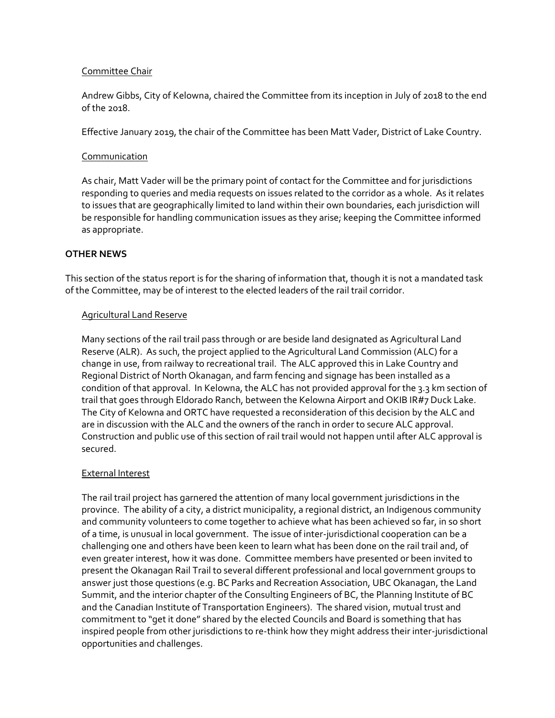#### Committee Chair

Andrew Gibbs, City of Kelowna, chaired the Committee from its inception in July of 2018 to the end of the 2018.

Effective January 2019, the chair of the Committee has been Matt Vader, District of Lake Country.

#### Communication

As chair, Matt Vader will be the primary point of contact for the Committee and for jurisdictions responding to queries and media requests on issues related to the corridor as a whole. As it relates to issues that are geographically limited to land within their own boundaries, each jurisdiction will be responsible for handling communication issues as they arise; keeping the Committee informed as appropriate.

### **OTHER NEWS**

This section of the status report is for the sharing of information that, though it is not a mandated task of the Committee, may be of interest to the elected leaders of the rail trail corridor.

#### Agricultural Land Reserve

Many sections of the rail trail pass through or are beside land designated as Agricultural Land Reserve (ALR). As such, the project applied to the Agricultural Land Commission (ALC) for a change in use, from railway to recreational trail. The ALC approved this in Lake Country and Regional District of North Okanagan, and farm fencing and signage has been installed as a condition of that approval. In Kelowna, the ALC has not provided approval for the 3.3 km section of trail that goes through Eldorado Ranch, between the Kelowna Airport and OKIB IR#7 Duck Lake. The City of Kelowna and ORTC have requested a reconsideration of this decision by the ALC and are in discussion with the ALC and the owners of the ranch in order to secure ALC approval. Construction and public use of this section of rail trail would not happen until after ALC approval is secured.

## External Interest

The rail trail project has garnered the attention of many local government jurisdictions in the province. The ability of a city, a district municipality, a regional district, an Indigenous community and community volunteers to come together to achieve what has been achieved so far, in so short of a time, is unusual in local government. The issue of inter-jurisdictional cooperation can be a challenging one and others have been keen to learn what has been done on the rail trail and, of even greater interest, how it was done. Committee members have presented or been invited to present the Okanagan Rail Trail to several different professional and local government groups to answer just those questions (e.g. BC Parks and Recreation Association, UBC Okanagan, the Land Summit, and the interior chapter of the Consulting Engineers of BC, the Planning Institute of BC and the Canadian Institute of Transportation Engineers). The shared vision, mutual trust and commitment to "get it done" shared by the elected Councils and Board is something that has inspired people from other jurisdictions to re-think how they might address their inter-jurisdictional opportunities and challenges.